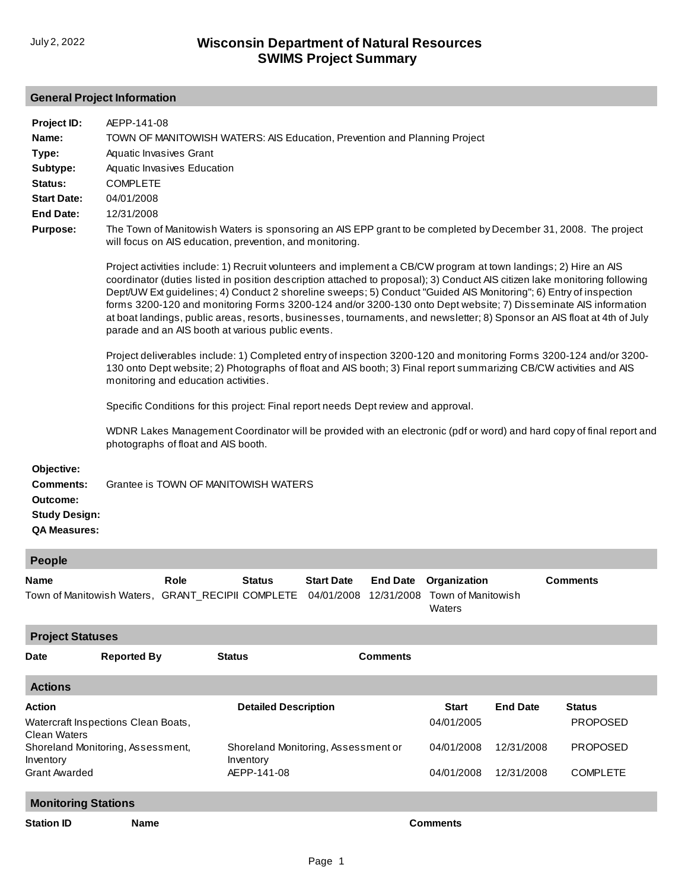## **General Project Information**

| Project ID:                                                                               | AEPP-141-08                                                                                                                                                                                                                                                                                                                                                                                                                                                                                                                                                                                                                                                            |
|-------------------------------------------------------------------------------------------|------------------------------------------------------------------------------------------------------------------------------------------------------------------------------------------------------------------------------------------------------------------------------------------------------------------------------------------------------------------------------------------------------------------------------------------------------------------------------------------------------------------------------------------------------------------------------------------------------------------------------------------------------------------------|
| Name:                                                                                     | TOWN OF MANITOWISH WATERS: AIS Education, Prevention and Planning Project                                                                                                                                                                                                                                                                                                                                                                                                                                                                                                                                                                                              |
| Type:                                                                                     | Aquatic Invasives Grant                                                                                                                                                                                                                                                                                                                                                                                                                                                                                                                                                                                                                                                |
| Subtype:                                                                                  | Aquatic Invasives Education                                                                                                                                                                                                                                                                                                                                                                                                                                                                                                                                                                                                                                            |
| Status:                                                                                   | <b>COMPLETE</b>                                                                                                                                                                                                                                                                                                                                                                                                                                                                                                                                                                                                                                                        |
| <b>Start Date:</b>                                                                        | 04/01/2008                                                                                                                                                                                                                                                                                                                                                                                                                                                                                                                                                                                                                                                             |
| <b>End Date:</b>                                                                          | 12/31/2008                                                                                                                                                                                                                                                                                                                                                                                                                                                                                                                                                                                                                                                             |
| <b>Purpose:</b>                                                                           | The Town of Manitowish Waters is sponsoring an AIS EPP grant to be completed by December 31, 2008. The project<br>will focus on AIS education, prevention, and monitoring.                                                                                                                                                                                                                                                                                                                                                                                                                                                                                             |
|                                                                                           | Project activities include: 1) Recruit volunteers and implement a CB/CW program at town landings; 2) Hire an AIS<br>coordinator (duties listed in position description attached to proposal); 3) Conduct AIS citizen lake monitoring following<br>Dept/UW Ext guidelines; 4) Conduct 2 shoreline sweeps; 5) Conduct "Guided AIS Monitoring"; 6) Entry of inspection<br>forms 3200-120 and monitoring Forms 3200-124 and/or 3200-130 onto Dept website; 7) Disseminate AIS information<br>at boat landings, public areas, resorts, businesses, tournaments, and newsletter; 8) Sponsor an AIS float at 4th of July<br>parade and an AIS booth at various public events. |
|                                                                                           | Project deliverables include: 1) Completed entry of inspection 3200-120 and monitoring Forms 3200-124 and/or 3200-<br>130 onto Dept website; 2) Photographs of float and AIS booth; 3) Final report summarizing CB/CW activities and AIS<br>monitoring and education activities.                                                                                                                                                                                                                                                                                                                                                                                       |
|                                                                                           | Specific Conditions for this project: Final report needs Dept review and approval.                                                                                                                                                                                                                                                                                                                                                                                                                                                                                                                                                                                     |
|                                                                                           | WDNR Lakes Management Coordinator will be provided with an electronic (pdf or word) and hard copy of final report and<br>photographs of float and AIS booth.                                                                                                                                                                                                                                                                                                                                                                                                                                                                                                           |
| Objective:<br><b>Comments:</b><br>Outcome:<br><b>Study Design:</b><br><b>QA Measures:</b> | Grantee is TOWN OF MANITOWISH WATERS                                                                                                                                                                                                                                                                                                                                                                                                                                                                                                                                                                                                                                   |
| <b>People</b>                                                                             |                                                                                                                                                                                                                                                                                                                                                                                                                                                                                                                                                                                                                                                                        |

| <b>Name</b>                                                                                | Role | Status |  | <b>Start Date</b> End Date Organization | <b>Comments</b> |
|--------------------------------------------------------------------------------------------|------|--------|--|-----------------------------------------|-----------------|
| Town of Manitowish Waters, GRANT_RECIPII COMPLETE 04/01/2008 12/31/2008 Town of Manitowish |      |        |  |                                         |                 |
|                                                                                            |      |        |  | Waters                                  |                 |

| <b>Project Statuses</b>                             |                            |                                     |                 |              |                 |                 |  |
|-----------------------------------------------------|----------------------------|-------------------------------------|-----------------|--------------|-----------------|-----------------|--|
| <b>Date</b>                                         | <b>Reported By</b>         | <b>Status</b>                       | <b>Comments</b> |              |                 |                 |  |
| <b>Actions</b>                                      |                            |                                     |                 |              |                 |                 |  |
| <b>Action</b>                                       |                            | <b>Detailed Description</b>         |                 | <b>Start</b> | <b>End Date</b> | <b>Status</b>   |  |
| Watercraft Inspections Clean Boats,                 |                            |                                     |                 | 04/01/2005   |                 | <b>PROPOSED</b> |  |
| Clean Waters<br>Shoreland Monitoring, Assessment,   |                            | Shoreland Monitoring, Assessment or |                 | 04/01/2008   | 12/31/2008      | <b>PROPOSED</b> |  |
| Inventory                                           |                            | Inventory                           |                 |              |                 |                 |  |
| <b>Grant Awarded</b>                                |                            | AEPP-141-08                         |                 | 04/01/2008   | 12/31/2008      | <b>COMPLETE</b> |  |
|                                                     | <b>Monitoring Stations</b> |                                     |                 |              |                 |                 |  |
| <b>Station ID</b><br><b>Name</b><br><b>Comments</b> |                            |                                     |                 |              |                 |                 |  |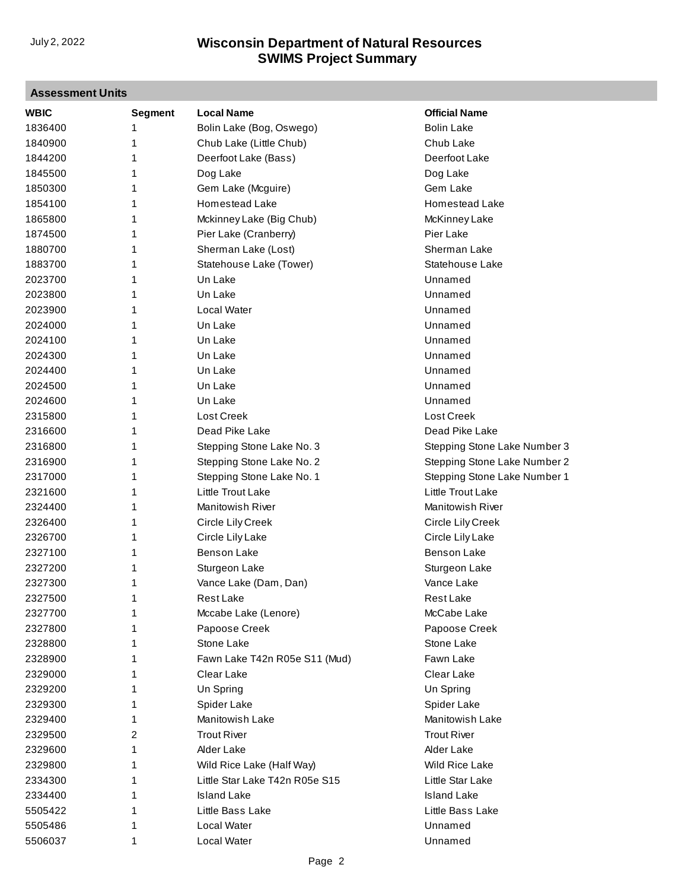## **Assessment Units**

| <b>WBIC</b> | <b>Segment</b> | <b>Local Name</b>              | <b>Official Name</b>         |
|-------------|----------------|--------------------------------|------------------------------|
| 1836400     | 1              | Bolin Lake (Bog, Oswego)       | <b>Bolin Lake</b>            |
| 1840900     | 1              | Chub Lake (Little Chub)        | Chub Lake                    |
| 1844200     | 1              | Deerfoot Lake (Bass)           | Deerfoot Lake                |
| 1845500     | 1              | Dog Lake                       | Dog Lake                     |
| 1850300     | 1              | Gem Lake (Mcguire)             | Gem Lake                     |
| 1854100     | 1              | Homestead Lake                 | Homestead Lake               |
| 1865800     | 1              | Mckinney Lake (Big Chub)       | McKinney Lake                |
| 1874500     | 1              | Pier Lake (Cranberry)          | Pier Lake                    |
| 1880700     | 1              | Sherman Lake (Lost)            | Sherman Lake                 |
| 1883700     | 1              | Statehouse Lake (Tower)        | Statehouse Lake              |
| 2023700     | 1              | Un Lake                        | Unnamed                      |
| 2023800     | 1              | Un Lake                        | Unnamed                      |
| 2023900     | 1              | Local Water                    | Unnamed                      |
| 2024000     | 1              | Un Lake                        | Unnamed                      |
| 2024100     | 1              | Un Lake                        | Unnamed                      |
| 2024300     | 1              | Un Lake                        | Unnamed                      |
| 2024400     | 1              | Un Lake                        | Unnamed                      |
| 2024500     | 1              | Un Lake                        | Unnamed                      |
| 2024600     | 1              | Un Lake                        | Unnamed                      |
| 2315800     | 1              | Lost Creek                     | Lost Creek                   |
| 2316600     | 1              | Dead Pike Lake                 | Dead Pike Lake               |
| 2316800     | 1              | Stepping Stone Lake No. 3      | Stepping Stone Lake Number 3 |
| 2316900     | 1              | Stepping Stone Lake No. 2      | Stepping Stone Lake Number 2 |
| 2317000     | 1              | Stepping Stone Lake No. 1      | Stepping Stone Lake Number 1 |
| 2321600     | 1              | Little Trout Lake              | Little Trout Lake            |
| 2324400     | 1              | <b>Manitowish River</b>        | <b>Manitowish River</b>      |
| 2326400     | 1              | Circle Lily Creek              | Circle Lily Creek            |
| 2326700     | 1              | Circle Lily Lake               | Circle Lily Lake             |
| 2327100     | 1              | <b>Benson Lake</b>             | <b>Benson Lake</b>           |
| 2327200     | 1              | Sturgeon Lake                  | Sturgeon Lake                |
| 2327300     | 1              | Vance Lake (Dam, Dan)          | Vance Lake                   |
| 2327500     | 1              | <b>Rest Lake</b>               | <b>Rest Lake</b>             |
| 2327700     | 1              | Mccabe Lake (Lenore)           | McCabe Lake                  |
| 2327800     | 1              | Papoose Creek                  | Papoose Creek                |
| 2328800     | 1              | Stone Lake                     | Stone Lake                   |
| 2328900     | 1              | Fawn Lake T42n R05e S11 (Mud)  | Fawn Lake                    |
| 2329000     | 1              | Clear Lake                     | Clear Lake                   |
| 2329200     | 1              | Un Spring                      | Un Spring                    |
| 2329300     | 1              | Spider Lake                    | Spider Lake                  |
| 2329400     | 1              | Manitowish Lake                | Manitowish Lake              |
| 2329500     | 2              | <b>Trout River</b>             | <b>Trout River</b>           |
| 2329600     | 1              | Alder Lake                     | Alder Lake                   |
| 2329800     | 1              | Wild Rice Lake (Half Way)      | Wild Rice Lake               |
| 2334300     | 1              | Little Star Lake T42n R05e S15 | Little Star Lake             |
| 2334400     | 1              | <b>Island Lake</b>             | <b>Island Lake</b>           |
| 5505422     | 1              | Little Bass Lake               | Little Bass Lake             |
| 5505486     | 1              | Local Water                    | Unnamed                      |
| 5506037     | 1              | Local Water                    | Unnamed                      |